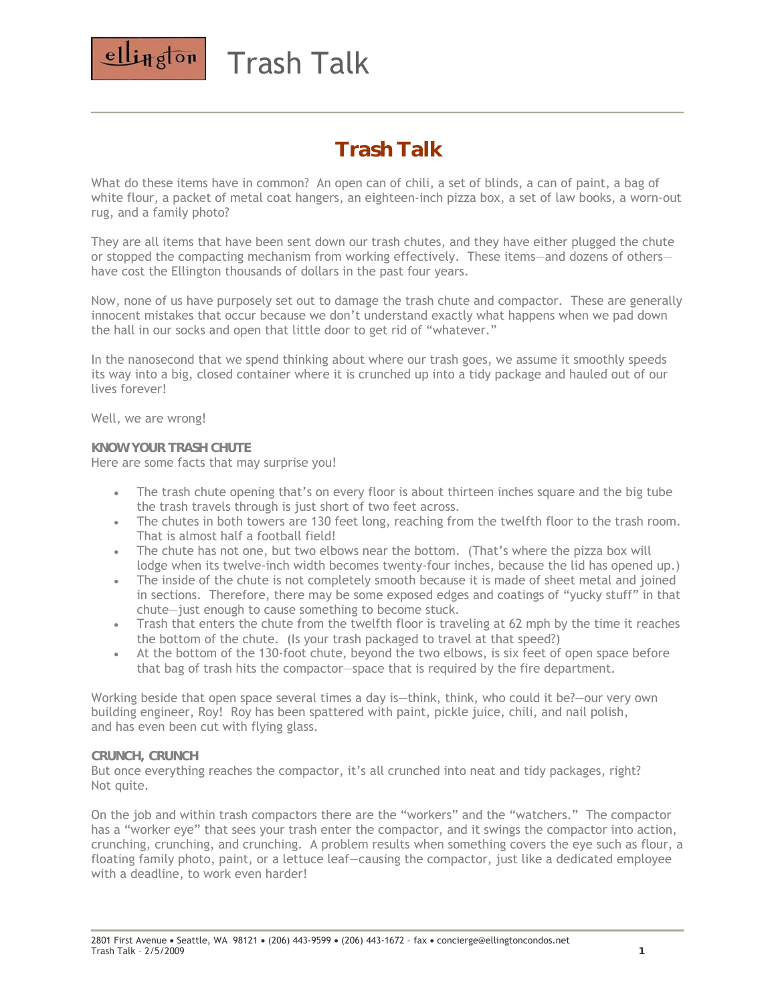

# Trash Talk

## *Trash Talk*

What do these items have in common? An open can of chili, a set of blinds, a can of paint, a bag of white flour, a packet of metal coat hangers, an eighteen-inch pizza box, a set of law books, a worn-out rug, and a family photo?

They are all items that have been sent down our trash chutes, and they have either plugged the chute or stopped the compacting mechanism from working effectively. These items—and dozens of others have cost the Ellington thousands of dollars in the past four years.

Now, none of us have purposely set out to damage the trash chute and compactor. These are generally innocent mistakes that occur because we don't understand exactly what happens when we pad down the hall in our socks and open that little door to get rid of "whatever."

In the nanosecond that we spend thinking about where our trash goes, we assume it smoothly speeds its way into a big, closed container where it is crunched up into a tidy package and hauled out of our lives forever!

Well, we are wrong!

#### **KNOW YOUR TRASH CHUTE**  Here are some facts that may surprise you!

- The trash chute opening that's on every floor is about thirteen inches square and the big tube the trash travels through is just short of two feet across.
- The chutes in both towers are 130 feet long, reaching from the twelfth floor to the trash room. That is almost half a football field!
- The chute has not one, but two elbows near the bottom. (That's where the pizza box will lodge when its twelve-inch width becomes twenty-four inches, because the lid has opened up.)
- The inside of the chute is not completely smooth because it is made of sheet metal and joined in sections. Therefore, there may be some exposed edges and coatings of "yucky stuff" in that chute—just enough to cause something to become stuck.
- Trash that enters the chute from the twelfth floor is traveling at 62 mph by the time it reaches the bottom of the chute. (Is your trash packaged to travel at that speed?)
- At the bottom of the 130-foot chute, beyond the two elbows, is six feet of open space before that bag of trash hits the compactor—space that is required by the fire department.

Working beside that open space several times a day is—think, think, who could it be?—our very own building engineer, Roy! Roy has been spattered with paint, pickle juice, chili, and nail polish, and has even been cut with flying glass.

### **CRUNCH, CRUNCH**

But once everything reaches the compactor, it's all crunched into neat and tidy packages, right? Not quite.

On the job and within trash compactors there are the "workers" and the "watchers." The compactor has a "worker eye" that sees your trash enter the compactor, and it swings the compactor into action, crunching, crunching, and crunching. A problem results when something covers the eye such as flour, a floating family photo, paint, or a lettuce leaf—causing the compactor, just like a dedicated employee with a deadline, to work even harder!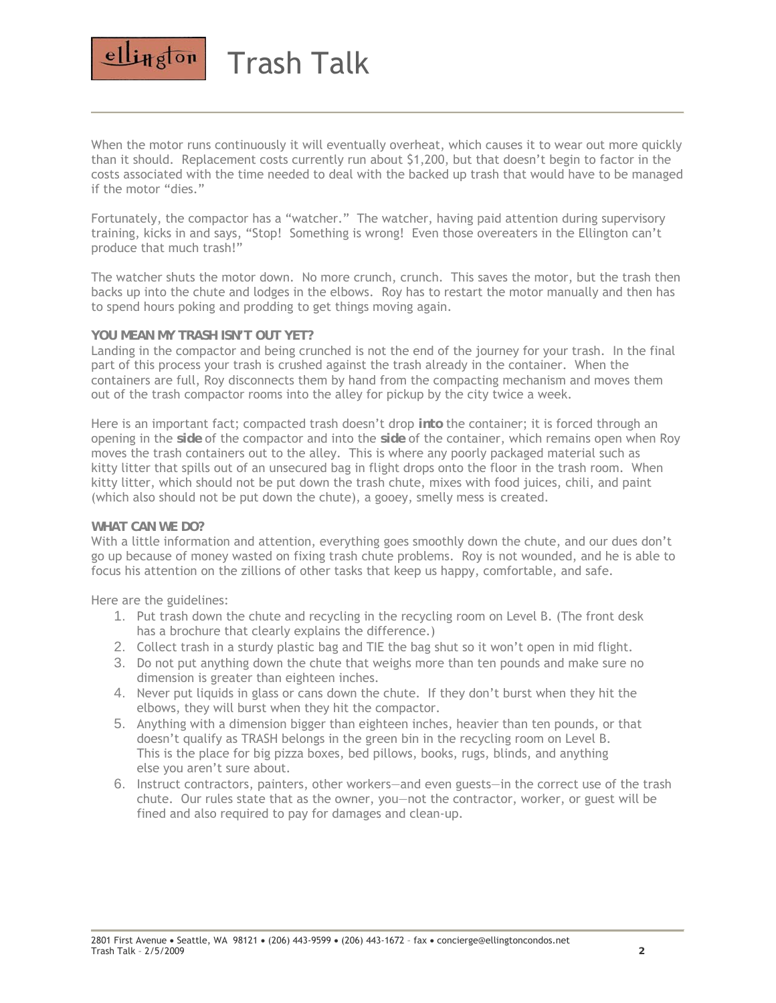

Trash Talk

When the motor runs continuously it will eventually overheat, which causes it to wear out more quickly than it should. Replacement costs currently run about \$1,200, but that doesn't begin to factor in the costs associated with the time needed to deal with the backed up trash that would have to be managed if the motor "dies."

Fortunately, the compactor has a "watcher." The watcher, having paid attention during supervisory training, kicks in and says, "Stop! Something is wrong! Even those overeaters in the Ellington can't produce that much trash!"

The watcher shuts the motor down. No more crunch, crunch. This saves the motor, but the trash then backs up into the chute and lodges in the elbows. Roy has to restart the motor manually and then has to spend hours poking and prodding to get things moving again.

### **YOU MEAN MY TRASH ISN'T OUT YET?**

Landing in the compactor and being crunched is not the end of the journey for your trash. In the final part of this process your trash is crushed against the trash already in the container. When the containers are full, Roy disconnects them by hand from the compacting mechanism and moves them out of the trash compactor rooms into the alley for pickup by the city twice a week.

Here is an important fact; compacted trash doesn't drop *into* the container; it is forced through an opening in the *side* of the compactor and into the *side* of the container, which remains open when Roy moves the trash containers out to the alley. This is where any poorly packaged material such as kitty litter that spills out of an unsecured bag in flight drops onto the floor in the trash room. When kitty litter, which should not be put down the trash chute, mixes with food juices, chili, and paint (which also should not be put down the chute), a gooey, smelly mess is created.

#### **WHAT CAN WE DO?**

With a little information and attention, everything goes smoothly down the chute, and our dues don't go up because of money wasted on fixing trash chute problems. Roy is not wounded, and he is able to focus his attention on the zillions of other tasks that keep us happy, comfortable, and safe.

Here are the guidelines:

- 1. Put trash down the chute and recycling in the recycling room on Level B. (The front desk has a brochure that clearly explains the difference.)
- 2. Collect trash in a sturdy plastic bag and TIE the bag shut so it won't open in mid flight.
- 3. Do not put anything down the chute that weighs more than ten pounds and make sure no dimension is greater than eighteen inches.
- 4. Never put liquids in glass or cans down the chute. If they don't burst when they hit the elbows, they will burst when they hit the compactor.
- 5. Anything with a dimension bigger than eighteen inches, heavier than ten pounds, or that doesn't qualify as TRASH belongs in the green bin in the recycling room on Level B. This is the place for big pizza boxes, bed pillows, books, rugs, blinds, and anything else you aren't sure about.
- 6. Instruct contractors, painters, other workers—and even guests—in the correct use of the trash chute. Our rules state that as the owner, you—not the contractor, worker, or guest will be fined and also required to pay for damages and clean-up.